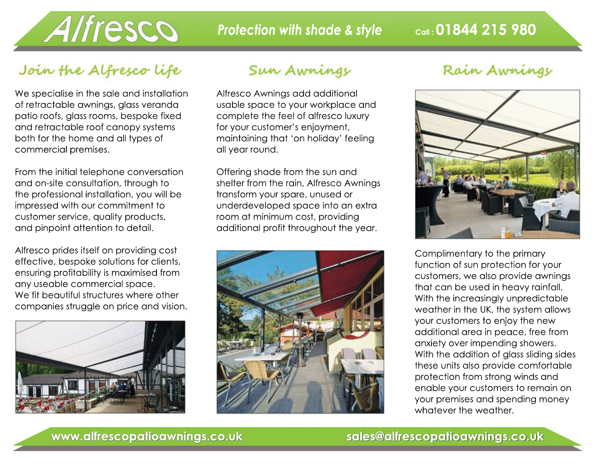

## Join the Alfresco life

We specialise in the sale and installation of retractable awnings, glass veranda patio roofs, glass rooms, bespoke fixed and retractable roof canopy systems both for the home and all types of commercial premises.

From the initial telephone conversation and on-site consultation, through to the professional installation, you will be impressed with our commitment to customer service, quality products, and pinpoint attention to detail.

Alfresco prides itself on providing cost effective, bespoke solutions for clients, ensuring profitability is maximised from any useable commercial space. We fit beautiful structures where other companies struggle on price and vision.



#### Sun Awnings

Alfresco Awnings add additional usable space to your workplace and complete the feel of alfresco luxury for your customer's enjoyment, maintaining that 'on holiday' feeling all year round.

Offering shade from the sun and shelter from the rain, Alfresco Awnings transform your spare, unused or underdeveloped space into an extra room at minimum cost, providing additional profit throughout the year.



#### Rain Awnings



Complimentary to the primary function of sun protection for your customers, we also provide awnings that can be used in heavy rainfall. With the increasingly unpredictable weather in the UK, the system allows your customers to enjoy the new additional area in peace, free from anxiety over impending showers. With the addition of glass sliding sides these units also provide comfortable protection from strong winds and enable your customers to remain on your premises and spending money whatever the weather.